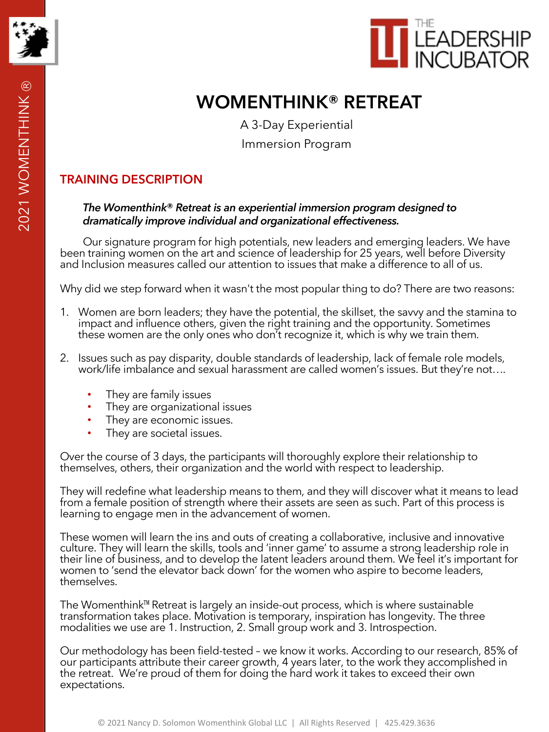

# **WOMENTHINK® RETREAT**

A 3-Day Experiential Immersion Program

# **TRAINING DESCRIPTION**

#### *The Womenthink***®** *Retreat is an experiential immersion program designed to dramatically improve individual and organizational effectiveness.*

Our signature program for high potentials, new leaders and emerging leaders. We have been training women on the art and science of leadership for 25 years, well before Diversity and Inclusion measures called our attention to issues that make a difference to all of us.

Why did we step forward when it wasn't the most popular thing to do? There are two reasons:

- 1. Women are born leaders; they have the potential, the skillset, the savvy and the stamina to impact and influence others, given the right training and the opportunity. Sometimes these women are the only ones who don't recognize it, which is why we train them.
- 2. Issues such as pay disparity, double standards of leadership, lack of female role models, work/life imbalance and sexual harassment are called women's issues. But they're not….
	- They are family issues
	- They are organizational issues
	- They are economic issues.
	- They are societal issues.

Over the course of 3 days, the participants will thoroughly explore their relationship to themselves, others, their organization and the world with respect to leadership.

They will redefine what leadership means to them, and they will discover what it means to lead from a female position of strength where their assets are seen as such. Part of this process is learning to engage men in the advancement of women.

These women will learn the ins and outs of creating a collaborative, inclusive and innovative culture. They will learn the skills, tools and 'inner game' to assume a strong leadership role in their line of business, and to develop the latent leaders around them. We feel it's important for women to 'send the elevator back down' for the women who aspire to become leaders, themselves.

The Womenthink™ Retreat is largely an inside-out process, which is where sustainable transformation takes place. Motivation is temporary, inspiration has longevity. The three modalities we use are 1. Instruction, 2. Small group work and 3. Introspection.

Our methodology has been field-tested – we know it works. According to our research, 85% of our participants attribute their career growth, 4 years later, to the work they accomplished in the retreat. We're proud of them for doing the hard work it takes to exceed their own expectations.